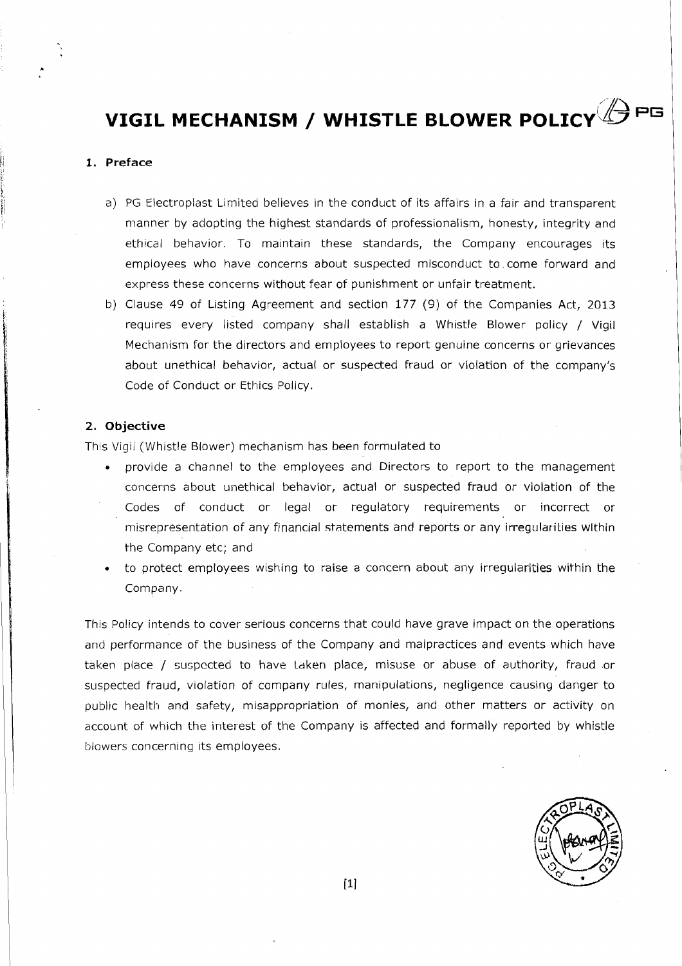### **1. Preface**

- a) PG Electroplast Limited believes in the conduct of its affairs in a fair and transparent manner by adopting the highest standards of professionalism, honesty, integrity and ethical behavior. To maintain these standards, the Company encourages its employees who have concerns about suspected misconduct to. come forward and express these concerns without fear of punishment or unfair treatment.
- b) Clause 49 of Listing Agreement and section 177 (9) of the Companies Act, 2013 requires every listed company shall establish a Whistle Blower policy / Vigil Mechanism for the directors and employees to report genuine concerns or grievances about unethical behavior, actual or suspected fraud or violation of the company's Code of Conduct or Ethics Policy.

### **2. Objective**

This Vigil (Whistle Blower) mechanism has been formulated to

- provide a channel to the employees and Directors to report to the management concerns about unethical behavior, actual or suspected fraud or violation of the Codes of conduct or legal or regulatory requirements or incorrect or misrepresentation of any financial statements and reports or any irregularities within the Company etc; and
- **<sup>o</sup>**to protect employees wishing to raise a concern about any irregularities within the Company.

This Policy intends to cover serious concerns that could have grave impact on the operations and performance of the business of the Company and malpractices and events which have taken place / suspected to have taken place, misuse or abuse of authority, fraud or suspected fraud, violation of company rules, manipulations, negligence causing danger to public health and safety, misappropriation of monies, and other matters or activity on account of which the interest of the Company is affected and formally reported by whistle blowers concerning its employees.

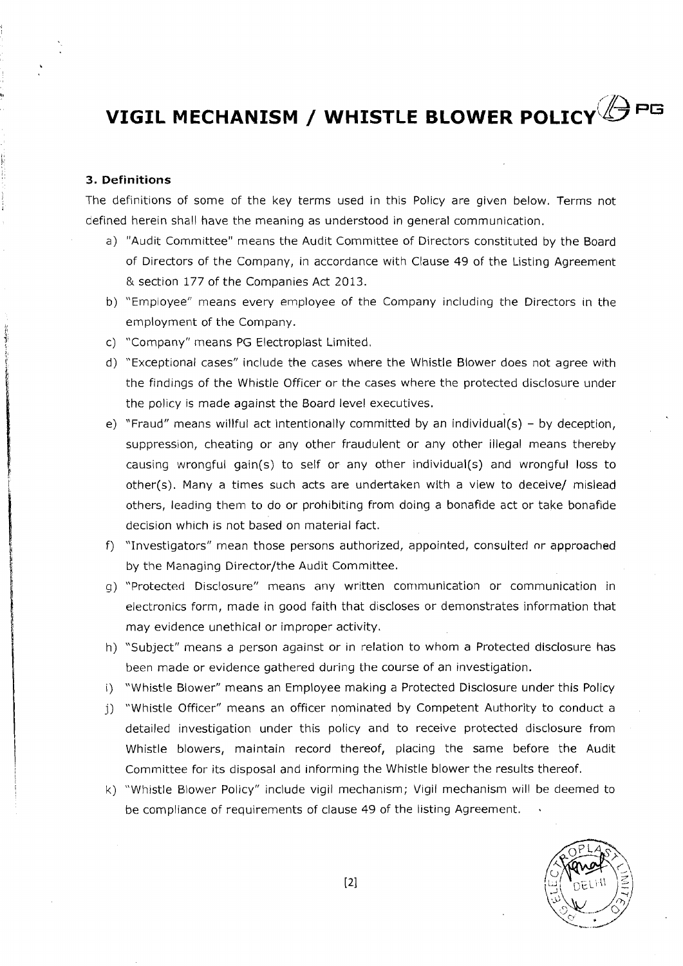#### 3. **Definitions**

The definitions of some of the key terms used in this Policy are given below. Terms not defined herein shall have the meaning as understood in general communication.

- a) "Audit Committee" means the Audit Committee of Directors constituted by the Board of Directors of the Company, in accordance with Clause 49 of the Listing Agreement & section 177 of the Companies Act 2013.
- b) "Employee" means every employee of the Company including the Directors in the employment of the Company.
- c) "Company" means PG Electroplast Limited.
- d) "Exceptional cases" include the cases where the Whistle Blower does not agree with the findings of the Whistle Officer or the cases where the protected disclosure under the policy is made against the Board level executives.
- e) "Fraud" means willful act intentionally committed by an individual(s) by deception, suppression, cheating or any other fraudulent or any other illegal means thereby causing wrongful gain(s) to self or any other individual(s) and wrongful loss to other(s). Many a times such acts are undertaken with a view to deceive/ mislead others, leading them to do or prohibiting from doing a bonafide act or take bonafide decision which is not based on material fact.
- $f$ ) "Investigators" mean those persons authorized, appointed, consulted or approached by the Managing Director/the Audit Committee.
- g) "Protected Disclosure" means any written communication or communication in electronics form, made in good faith that discloses or demonstrates information that may evidence unethical or improper activity.
- h) "Subject" means a person against or in relation to whom a Protected disclosure has been made or evidence gathered during the course of an investigation.
- i) "Whistle Blower" means an Employee making a Protected Disclosure under this Policy
- j) "Whistle Officer" means an officer nominated by Competent Authority to conduct a detailed investigation under this policy and to receive protected disclosure from Whistle blowers, maintain record thereof, placing the same before the Audit Committee for its disposal and informing the Whistle blower the results thereof.
- k) "Whistle Blower Policy" include vigil mechanism; Vigil mechanism will be deemed to be compliance of requirements of clause 49 of the listing Agreement.

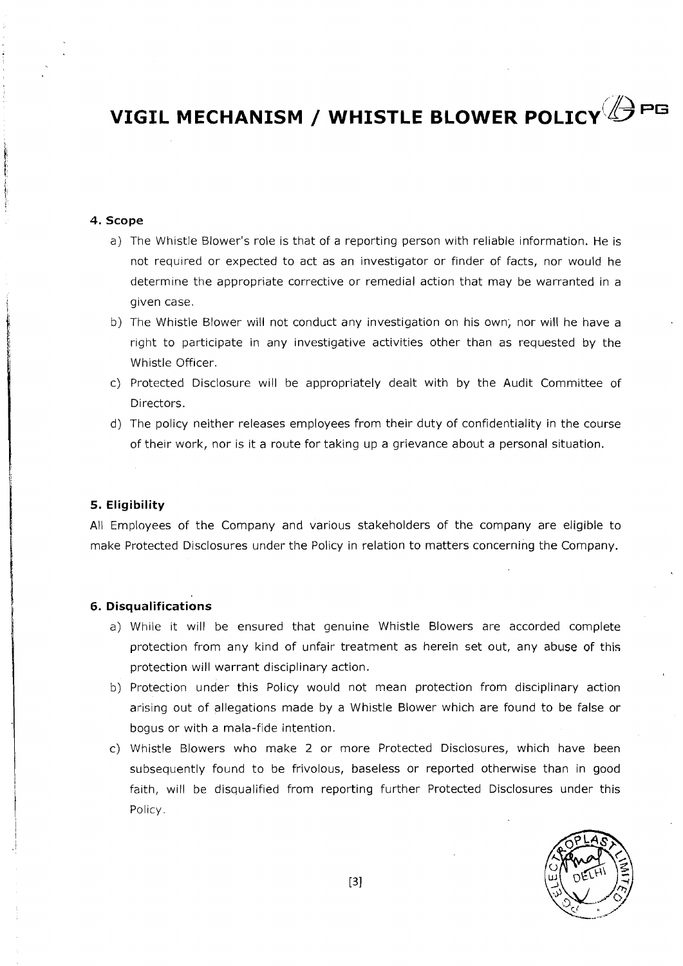## **4. Scope**

- a) The Whistle Blower's role is that of a reporting person with reliable information. He is not required or expected to act as an investigator or finder of facts, nor would he determine the appropriate corrective or remedial action that may be warranted in a given case.
- b) The Whistle Blower will not conduct any investigation on his own; nor will he have a right to participate in any investigative activities other than as requested by the Whistle Officer.
- c) Protected Disclosure will be appropriately dealt with by the Audit Committee of Directors.
- d) The policy neither releases employees from their duty of confidentiality in the course of their work, nor is it a route for taking up a grievance about a personal situation.

### **5. Eligibility**

All Employees of the Company and various stakeholders of the company are eligible to make Protected Disclosures under the Policy in relation to matters concerning the Company.

#### **6. Disqualifications**

- a) While it will be ensured that genuine Whistle Blowers are accorded complete protection from any kind of unfair treatment as herein set out, any abuse of this protection will warrant disciplinary action.
- b) Protection under this Policy would not mean protection from disciplinary action arislng out of allegations made by a Whistle Blower which are found to be false or bogus or with a mala-fide intention.
- c) Whistle Blowers who make 2 or more Protected Disclosures, which have been subsequently found to be frivolous, baseless or reported otherwise than in good falth, will be disqualified from reporting further Protected Disclosures under this Policy.

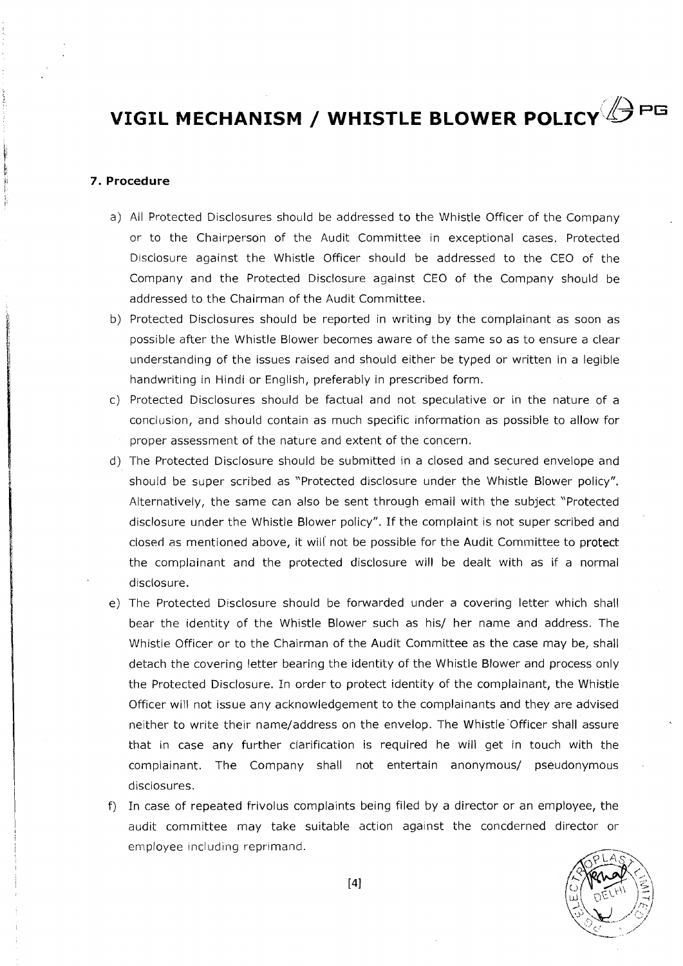#### **7. Procedure**

- a) All Protected Disclosures should be addressed to the Whistle Officer of the Company or to the Chairperson of the Audit Committee in exceptional cases. Protected Disclosure against the Whistle Officer should be addressed to the CEO of the Company and the Protected Disclosure against CEO of the Company should be addressed to the Chairman of the Audit Committee.
- b) Protected Disclosures should be reported in writing by the complainant as soon as possible after the Whistle Blower becomes aware of the same so as to ensure a clear understanding of the issues raised and should either be typed or written in a legible handwriting in Hindi or English, preferably in prescribed form.
- c) Protected Disclosures should be factual and not speculative or in the nature of a conclusion, and should contain as much specific information as possible to allow for proper assessment of the nature and extent of the concern.
- d) The Protected Disclosure should be submitted in a closed and secured envelope and should be super scribed as "Protected disclosure under the Whistle Blower policy". Alternatively, the same can also be sent through email with the subject "Protected disclosure under the Whistle Blower policy". If the complaint is not super scribed and closed as mentioned above, it will' not be possible for the Audit Comniittee to protect the complainant and the protected disclosure will be dealt with as if a normal disclosure.
- e) The Protected Disclosure should be forwarded under a covering letter which shall bear the identity of the Whistle Blower such as his/ her name and address. The Whistle Officer or to the Chairman of the Audit Committee as the case may be, shall detach the covering letter bearing the identity of the Whistle Blower and process only the Protected Disclosure. In order to protect identity of the complainant, the Whistle Officer will not issue any acknowledgement to the complainants and they are advised neither to write their name/address on the envelop. The Whistle Officer shall assure that in case any further clarification is required he will get in touch with the complainant. The Company shall not entertain anonymous/ pseudonymous disclosures.
- f) In case of repeated frivolus complaints being filed by a director or an employee, the audit committee may take suitable action against the concderned director or employee including reprimand.

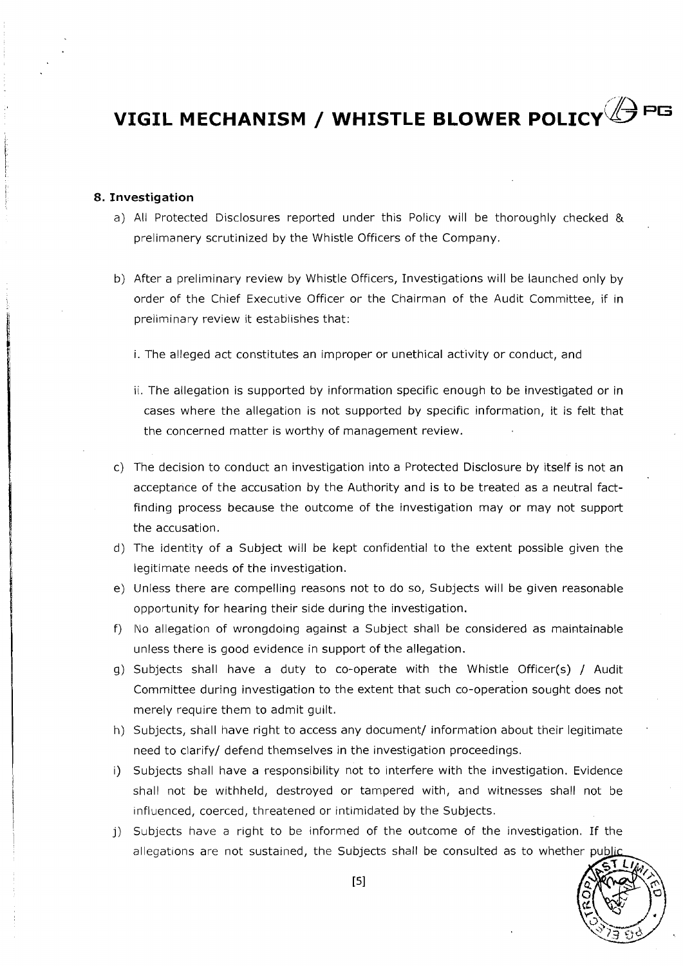### **8. Investigation**

- a) All Protected Disclosures reported under this Policy will be thoroughly checked & prelimanery scrutinized by the Whistle Officers of the Company.
- b) After a preliminary review by Whistle Officers, Investigations will be launched only by order of the Chief Executive Officer or the Chairman of the Audit Committee, if in preliminary review it establishes that:
	- i. The alleged act constitutes an improper or unethical activity or conduct, and
	- ii. The allegation is supported by information specific enough to be investigated or in cases where the allegation is not supported by specific information, it is felt that the concerned matter is worthy of management review.
- c) The decision to conduct an investigation into a Protected Disclosure by itself is not an acceptance of the accusation by the Authority and is to be treated as a neutral factfinding process because the outcome of the investigation may or may not support the accusation.
- d) The identity of a Subject will be kept confidential to the extent possible given the legitimate needs of the investigation.
- e) Unless there are compelling reasons not to do so, Subjects will be given reasonable opportunity for hearing their side during the investigation.
- f) No allegation of wrongdoing against a Subject shall be considered as maintainable unless there is good evidence in support of the allegation.
- g) Subjects shall have a duty to co-operate with the Whistle Officer(s) / Audit Committee during investigation to the extent that such co-operation sought does not merely require them to admit guilt.
- h) Subjects, shall have right to access any document/ information about their legitimate need to clarify/ defend themselves in the investigation proceedings.
- i) Subjects shall have a responsibility not to interfere with the investigation. Evidence shall not be withheld, destroyed or tampered with, and witnesses shall not be influenced, coerced, threatened or intimidated by the Subjects.
- j) Subjects have a right to be informed of the outcome of the investigation. If the allegations are not sustained, the Subjects shall be consulted

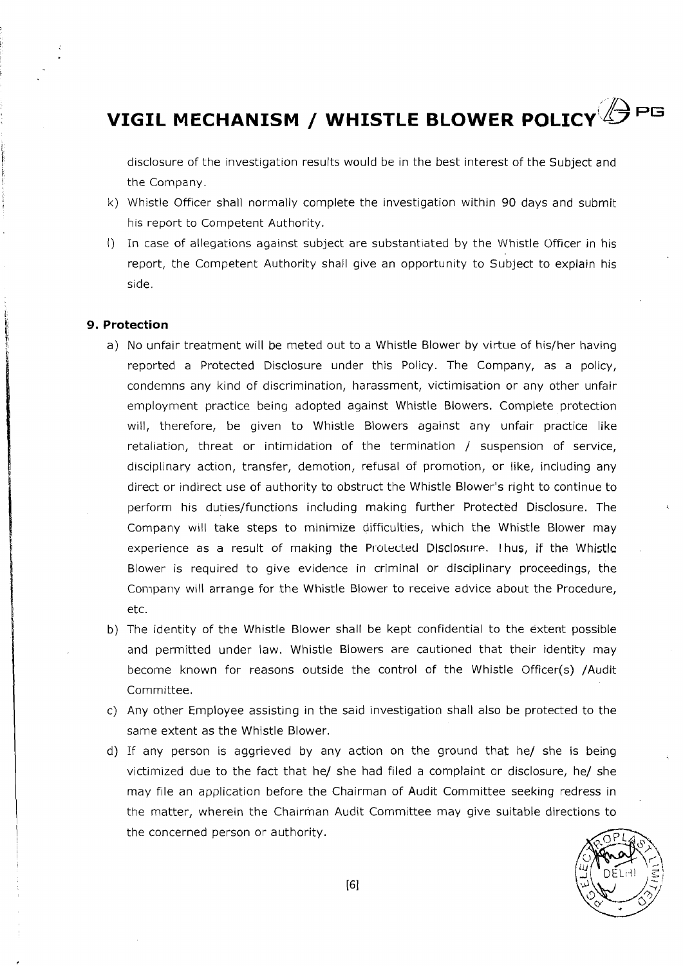disclosure of the investigation results would be in the best interest of the Subject and the Company.

- k) Whistle Officer shall normally complete the investigation within 90 days and submit his report to Competent Authority.
- I) In case of allegations against subject are substantiated by the Whistle Officer in his report, the Competent Authority shall give an opportunity to Subject to explain his side.

### **9. Protection**

- a) No unfair treatment will be meted out to a Whistle Blower by virtue of his/her having reported a Protected Disclosure under this Policy. The Company, as a policy, condemns any kind of discrimination, harassment, victimisation or any other unfair employment practice being adopted against Whistle Blowers. Complete protection will, therefore, be given to Whistle Blowers against any unfair practice like retaliation, threat or intimidation of the termination / suspension of service, disciplinary action, transfer, demotion, refusal of promotion, or like, including any direct or indirect use of authority to obstruct the Whistle Blower's right to continue to perform his duties/functions including making further Protected Disclosure. The Company will take steps to minimize difficulties, which the Whistle Blower may experience as a result of making the Protected Disclosure. Thus, if the Whistle Blower is required to give evidence in criminal or disciplinary proceedings, the Compariy will arrange for the Whistle Blower to receive advice about the Procedure, etc.
- b) The identity of the Whistle Blower shall be kept confidential to the extent possible and permitted under law. Whistle Blowers are cautioned that their identity may become known for reasons outside the control of the Whistle Officer(s) /Audit Committee.
- c) Any other Employee assisting in the said investigation shall also be protected to the same extent as the Whistle Blower.
- d) If any person is aggrieved by any action on the ground that he/ she is being victimized due to the fact that he/ she had filed a complaint or disclosure, he/ she may file an application before the Chairman of Audit Committee seeking redress in the matter, wherein the Chairman Audit Committee may give suitable directions to the concerned person or authority.

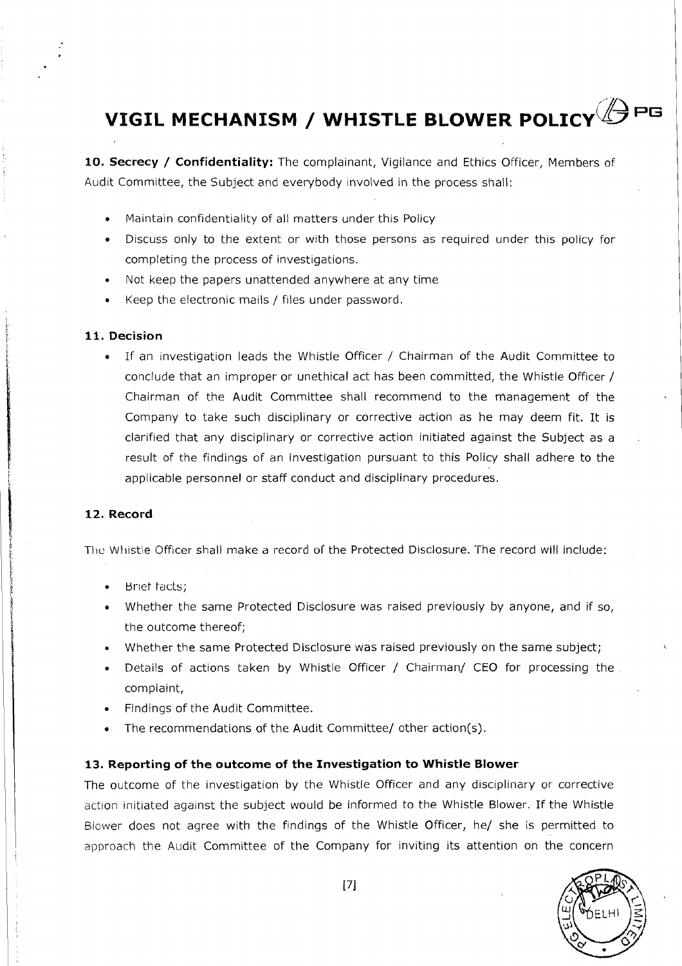# **VIGIL MECHANISM / WHISTLE BLOWER POLICY APG**

**10. Secrecy** / **Confidentiality:** The complainant, Vigilance and Ethics Officer, Members of Audit Committee, the Subject and everybody involved in the process shall:

- **<sup>e</sup>**Maintain confidentiality of all matters under this Policy
- **•** Discuss only to the extent or with those persons as required under this policy for completing the process of investigations.
- Not keep the papers unattended anywhere at any time
- Keep the electronic mails / files under password.

#### **11. Decision**

**<sup>e</sup>**If an investigation leads the Whistle Officer / Chairman of the Audit Committee to conclude that an improper or unethical act has been committed, the Whistle Officer / Chairman of the Audit Committee shall recommend to the management of the Company to take such disciplinary or corrective action as he may deem fit. It is clarified that any disciplinary or corrective action initiated against the Subject as a result of the findings of an investigation pursuant to this Policy shall adhere to the applicable personnel or staff conduct and disciplinary procedures.

### **12. Record**

The Whistle Officer shall make a record of the Protected Disclosure. The record will include:

- **Brief facts;**
- **<sup>e</sup>**Whether the same Protected Disclosure was raised previously by anyone, and if so, the outcome thereof;
- Whether the same Protected Disclosure was raised previously on the same subject;
- Details of actions taken by Whistle Officer / Chairman/ CEO for processing the complaint,
- **<sup>e</sup>**Findings of the Audit Committee.
- The recommendations of the Audit Committee/ other action(s).

#### **13. Reporting of the outcome of the Investigation to Whistle Blower**

The outcome of the investigation by the Whistle Officer and any disciplinary or corrective action initiated against the subject would be informed to the Whistle Blower. If the Whistle Blower does not agree with the findings of the Whistle Officer, he/ she is permitted to approach the Audit Committee of the Company for inviting its attention on the concern

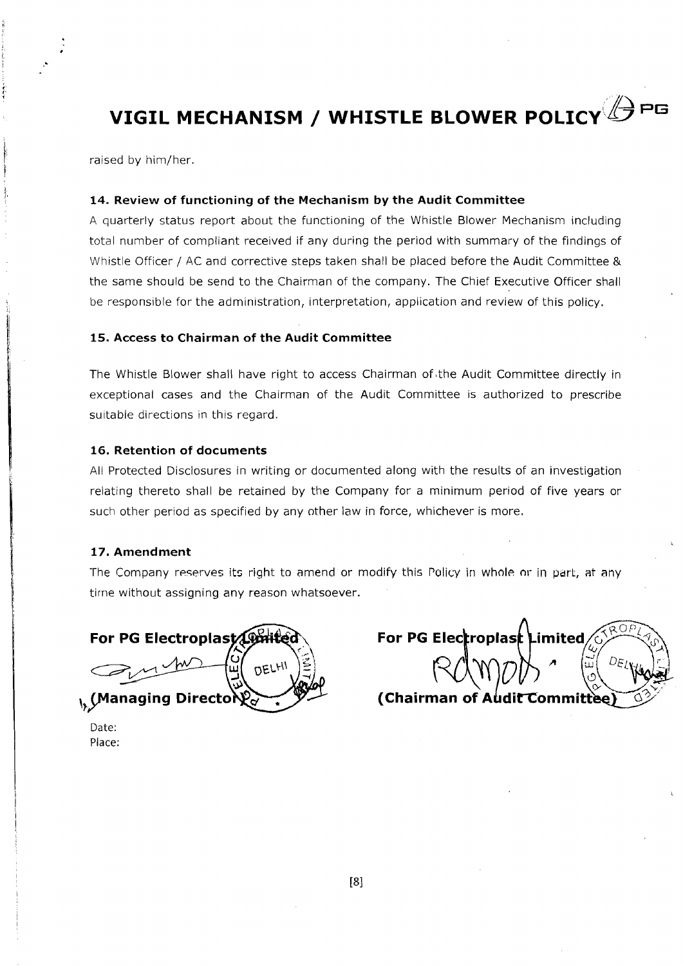raised by him/her

#### **14. Review of functioning of the Mechanism by the Audit Committee**

A quarterly status report about the functioning of the Whistle Blower Mechanism including total number of compliant received if any during the period with summary of the findings of Whistle Officer / AC and corrective steps taken shall be placed before the Audit Committee & the same should be send to the Chairman of the company. The Chief Executive Officer shall be responsible for the administration, interpretation, application and review of this policy.

### **15. Access to Chairman of the Audit Committee**

The Whistle Blower shall have right to access Chairman of the Audit Committee directly in exceptional cases and the Chairman of the Audit Committee is authorized to prescribe suitable directions in this regard.

### **16. Retention of documents**

All Protected Disclosures in writing or documented along with the results of an investigation relating thereto shall be retained by the Company for a minimum period of five years or such other period as specified by any other law in force, whichever is more.

### **17. Amendment**

The Company reserves its right to amend or modify this Policy in whole or in part, at any time without assigning any reason whatsoever.

For PG Electroplast **DELHI A** (Managing Directory)

| For PG Electroplast Limited/  |  |  |
|-------------------------------|--|--|
|                               |  |  |
| (Chairman of Audit Committee) |  |  |

Date: Place: